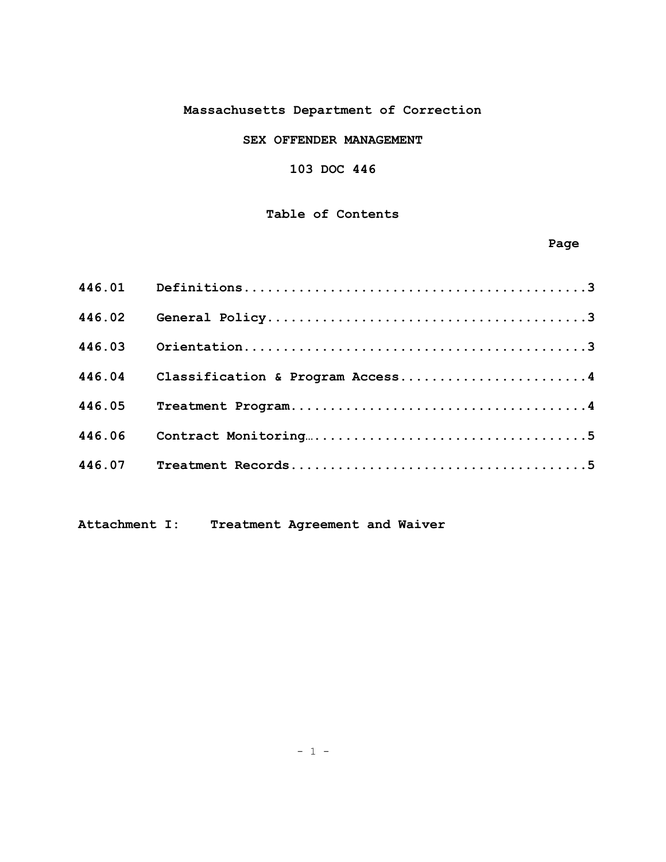# **Massachusetts Department of Correction**

# **SEX OFFENDER MANAGEMENT**

# **103 DOC 446**

# **Table of Contents**

# **Page**

| 446.02 |                                         |
|--------|-----------------------------------------|
| 446.03 |                                         |
|        | 446.04 Classification & Program Access4 |
| 446.05 |                                         |
| 446.06 |                                         |
| 446.07 |                                         |

**Attachment I: Treatment Agreement and Waiver**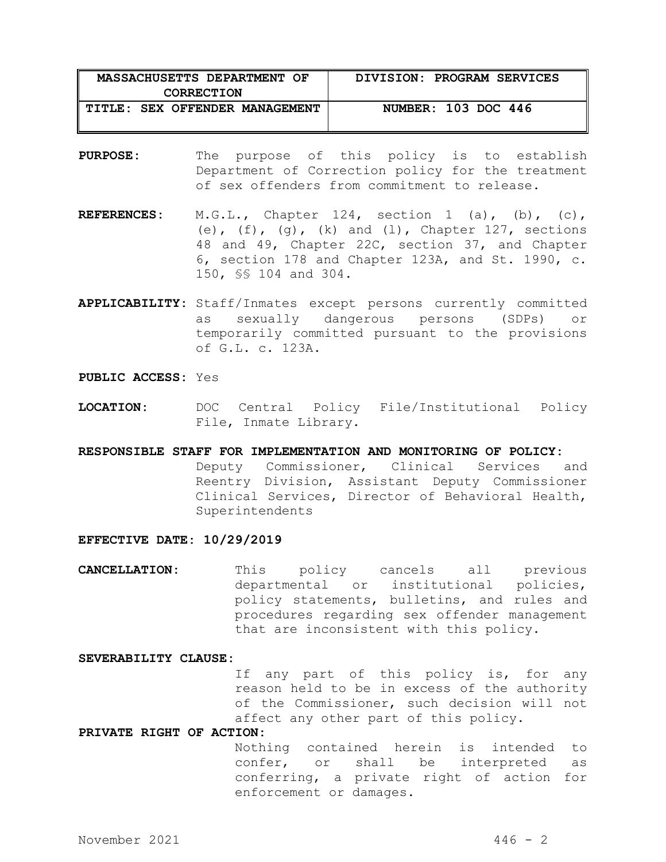| MASSACHUSETTS DEPARTMENT OF    | DIVISION: PROGRAM SERVICES |
|--------------------------------|----------------------------|
| <b>CORRECTION</b>              |                            |
| TITLE: SEX OFFENDER MANAGEMENT | NUMBER: 103 DOC 446        |
|                                |                            |

- **PURPOSE:** The purpose of this policy is to establish Department of Correction policy for the treatment of sex offenders from commitment to release.
- **REFERENCES:** M.G.L., Chapter 124, section 1 (a), (b), (c), (e),  $(f)$ ,  $(g)$ ,  $(k)$  and  $(1)$ , Chapter 127, sections 48 and 49, Chapter 22C, section 37, and Chapter 6, section 178 and Chapter 123A, and St. 1990, c. 150, §§ 104 and 304.
- **APPLICABILITY:** Staff/Inmates except persons currently committed as sexually dangerous persons (SDPs) or temporarily committed pursuant to the provisions of G.L. c. 123A.

### **PUBLIC ACCESS:** Yes

**LOCATION:** DOC Central Policy File/Institutional Policy File, Inmate Library.

## **RESPONSIBLE STAFF FOR IMPLEMENTATION AND MONITORING OF POLICY:**

Deputy Commissioner, Clinical Services and Reentry Division, Assistant Deputy Commissioner Clinical Services, Director of Behavioral Health, Superintendents

#### **EFFECTIVE DATE: 10/29/2019**

**CANCELLATION:** This policy cancels all previous departmental or institutional policies, policy statements, bulletins, and rules and procedures regarding sex offender management that are inconsistent with this policy.

#### **SEVERABILITY CLAUSE:**

If any part of this policy is, for any reason held to be in excess of the authority of the Commissioner, such decision will not affect any other part of this policy.

#### **PRIVATE RIGHT OF ACTION:**

Nothing contained herein is intended to confer, or shall be interpreted as conferring, a private right of action for enforcement or damages.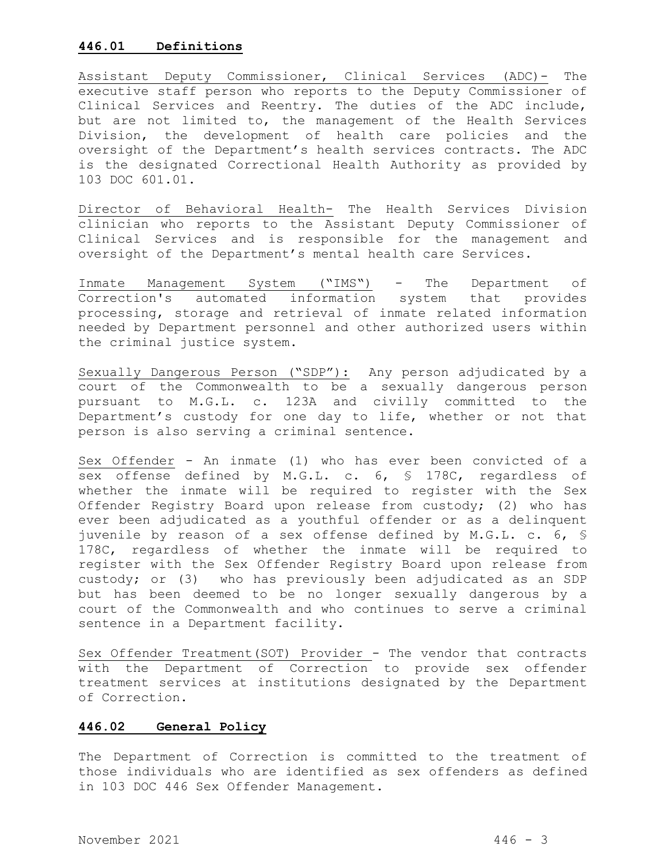### **446.01 Definitions**

Assistant Deputy Commissioner, Clinical Services (ADC)- The executive staff person who reports to the Deputy Commissioner of Clinical Services and Reentry. The duties of the ADC include, but are not limited to, the management of the Health Services Division, the development of health care policies and the oversight of the Department's health services contracts. The ADC is the designated Correctional Health Authority as provided by 103 DOC 601.01.

Director of Behavioral Health- The Health Services Division clinician who reports to the Assistant Deputy Commissioner of Clinical Services and is responsible for the management and oversight of the Department's mental health care Services.

Inmate Management System ("IMS") - The Department of Correction's automated information system that provides processing, storage and retrieval of inmate related information needed by Department personnel and other authorized users within the criminal justice system.

Sexually Dangerous Person ("SDP"): Any person adjudicated by a court of the Commonwealth to be a sexually dangerous person pursuant to M.G.L. c. 123A and civilly committed to the Department's custody for one day to life, whether or not that person is also serving a criminal sentence.

Sex Offender - An inmate (1) who has ever been convicted of a sex offense defined by M.G.L. c. 6, § 178C, regardless of whether the inmate will be required to register with the Sex Offender Registry Board upon release from custody; (2) who has ever been adjudicated as a youthful offender or as a delinquent juvenile by reason of a sex offense defined by M.G.L. c. 6, § 178C, regardless of whether the inmate will be required to register with the Sex Offender Registry Board upon release from custody; or (3) who has previously been adjudicated as an SDP but has been deemed to be no longer sexually dangerous by a court of the Commonwealth and who continues to serve a criminal sentence in a Department facility.

Sex Offender Treatment(SOT) Provider - The vendor that contracts with the Department of Correction to provide sex offender treatment services at institutions designated by the Department of Correction.

## **446.02 General Policy**

The Department of Correction is committed to the treatment of those individuals who are identified as sex offenders as defined in 103 DOC 446 Sex Offender Management.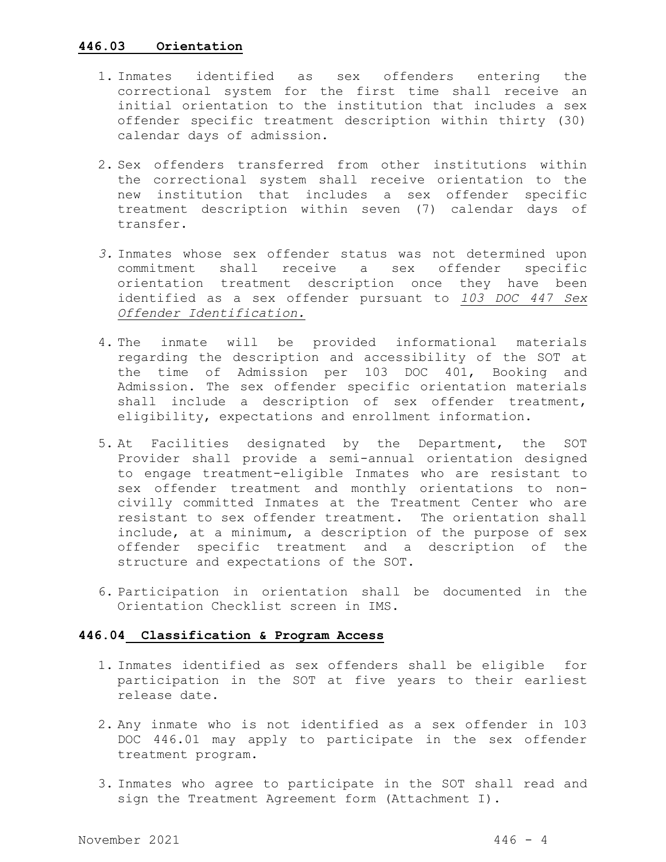### **446.03 Orientation**

- 1. Inmates identified as sex offenders entering the correctional system for the first time shall receive an initial orientation to the institution that includes a sex offender specific treatment description within thirty (30) calendar days of admission.
- 2. Sex offenders transferred from other institutions within the correctional system shall receive orientation to the new institution that includes a sex offender specific treatment description within seven (7) calendar days of transfer.
- *3.* Inmates whose sex offender status was not determined upon commitment shall receive a sex offender specific orientation treatment description once they have been identified as a sex offender pursuant to *103 DOC 447 Sex Offender Identification.*
- 4. The inmate will be provided informational materials regarding the description and accessibility of the SOT at the time of Admission per 103 DOC 401, Booking and Admission. The sex offender specific orientation materials shall include a description of sex offender treatment, eligibility, expectations and enrollment information.
- 5. At Facilities designated by the Department, the SOT Provider shall provide a semi-annual orientation designed to engage treatment-eligible Inmates who are resistant to sex offender treatment and monthly orientations to noncivilly committed Inmates at the Treatment Center who are resistant to sex offender treatment. The orientation shall include, at a minimum, a description of the purpose of sex offender specific treatment and a description of the structure and expectations of the SOT.
- 6. Participation in orientation shall be documented in the Orientation Checklist screen in IMS.

## **446.04 Classification & Program Access**

- 1. Inmates identified as sex offenders shall be eligible for participation in the SOT at five years to their earliest release date.
- 2. Any inmate who is not identified as a sex offender in 103 DOC 446.01 may apply to participate in the sex offender treatment program.
- 3. Inmates who agree to participate in the SOT shall read and sign the Treatment Agreement form (Attachment I).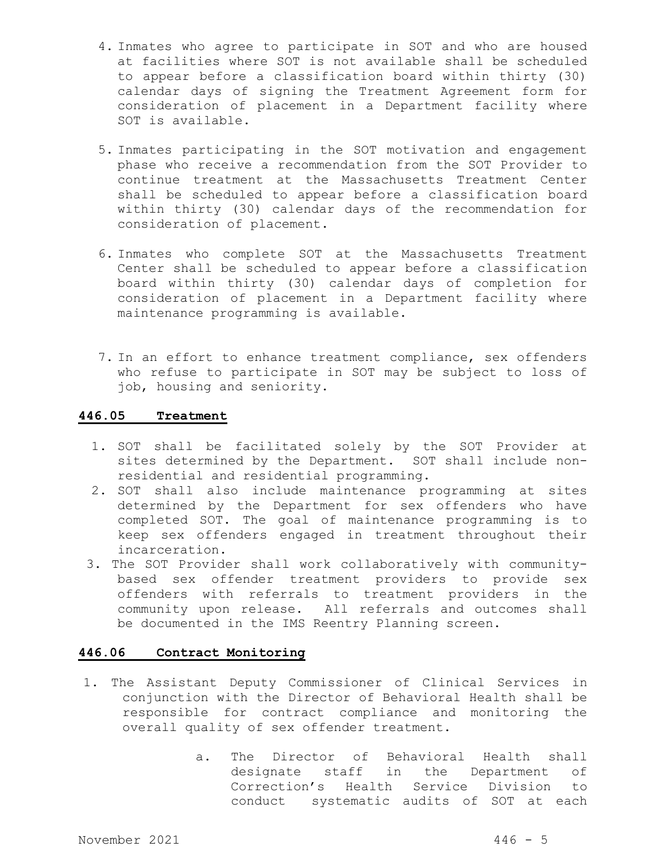- 4. Inmates who agree to participate in SOT and who are housed at facilities where SOT is not available shall be scheduled to appear before a classification board within thirty (30) calendar days of signing the Treatment Agreement form for consideration of placement in a Department facility where SOT is available.
- 5. Inmates participating in the SOT motivation and engagement phase who receive a recommendation from the SOT Provider to continue treatment at the Massachusetts Treatment Center shall be scheduled to appear before a classification board within thirty (30) calendar days of the recommendation for consideration of placement.
- 6. Inmates who complete SOT at the Massachusetts Treatment Center shall be scheduled to appear before a classification board within thirty (30) calendar days of completion for consideration of placement in a Department facility where maintenance programming is available.
- 7. In an effort to enhance treatment compliance, sex offenders who refuse to participate in SOT may be subject to loss of job, housing and seniority.

### **446.05 Treatment**

- 1. SOT shall be facilitated solely by the SOT Provider at sites determined by the Department. SOT shall include nonresidential and residential programming.
- 2. SOT shall also include maintenance programming at sites determined by the Department for sex offenders who have completed SOT. The goal of maintenance programming is to keep sex offenders engaged in treatment throughout their incarceration.
- 3. The SOT Provider shall work collaboratively with communitybased sex offender treatment providers to provide sex offenders with referrals to treatment providers in the community upon release. All referrals and outcomes shall be documented in the IMS Reentry Planning screen.

# **446.06 Contract Monitoring**

- 1. The Assistant Deputy Commissioner of Clinical Services in conjunction with the Director of Behavioral Health shall be responsible for contract compliance and monitoring the overall quality of sex offender treatment.
	- a. The Director of Behavioral Health shall designate staff in the Department of Correction's Health Service Division to conduct systematic audits of SOT at each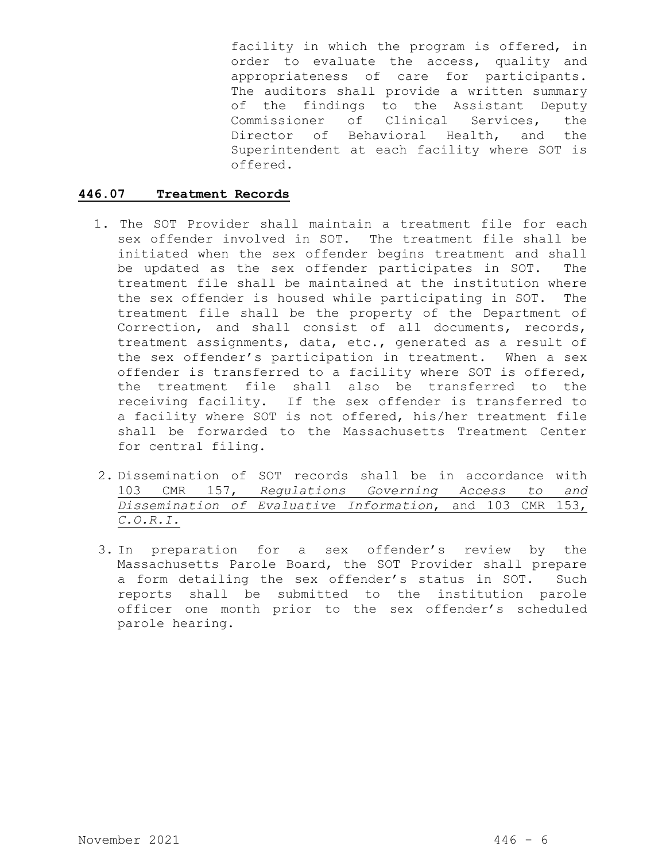facility in which the program is offered, in order to evaluate the access, quality and appropriateness of care for participants. The auditors shall provide a written summary of the findings to the Assistant Deputy Commissioner of Clinical Services, the Director of Behavioral Health, and the Superintendent at each facility where SOT is offered.

# **446.07 Treatment Records**

- 1. The SOT Provider shall maintain a treatment file for each sex offender involved in SOT. The treatment file shall be initiated when the sex offender begins treatment and shall be updated as the sex offender participates in SOT. The treatment file shall be maintained at the institution where the sex offender is housed while participating in SOT. The treatment file shall be the property of the Department of Correction, and shall consist of all documents, records, treatment assignments, data, etc., generated as a result of the sex offender's participation in treatment. When a sex offender is transferred to a facility where SOT is offered, the treatment file shall also be transferred to the receiving facility. If the sex offender is transferred to a facility where SOT is not offered, his/her treatment file shall be forwarded to the Massachusetts Treatment Center for central filing.
- 2. Dissemination of SOT records shall be in accordance with 103 CMR 157, *Regulations Governing Access to and Dissemination of Evaluative Information*, and 103 CMR 153, *C.O.R.I.*
- 3. In preparation for a sex offender's review by the Massachusetts Parole Board, the SOT Provider shall prepare a form detailing the sex offender's status in SOT. Such reports shall be submitted to the institution parole officer one month prior to the sex offender's scheduled parole hearing.